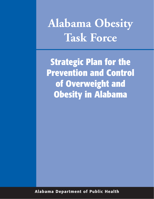**Alabama Obesity Task Force**

**Strategic Plan for the Prevention and Control of Overweight and Obesity in Alabama**

**Alabama Department of Public Health**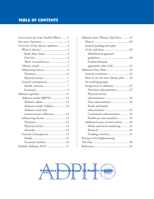| Letter from the State Health Officer 1 |  |
|----------------------------------------|--|
|                                        |  |
| Overview of the obesity epidemic3      |  |
|                                        |  |
|                                        |  |
|                                        |  |
| Waist circumferences 5                 |  |
|                                        |  |
|                                        |  |
|                                        |  |
|                                        |  |
| General consequences 7                 |  |
|                                        |  |
|                                        |  |
|                                        |  |
| Alabama trends (BRFSS) 12              |  |
| Alabama adults12                       |  |
| Alabama youth/ children12              |  |
| Alabama racial and                     |  |
| socioeconomic influences 13            |  |
| Influencing factors 14                 |  |
|                                        |  |
| Physical activity14                    |  |
|                                        |  |
| General Consequences 15                |  |
|                                        |  |
| Economic burden16                      |  |
| Healthy Alabama 201017                 |  |

| Alabama State Obesity Task Force 19  |
|--------------------------------------|
|                                      |
| General guiding principles           |
|                                      |
| Multifaceted approach                |
|                                      |
| Evidenced-based                      |
| approaches that work 22              |
| Alabama's State Plan: 23             |
| General comments24                   |
| How to use the state obesity plan 24 |
| Six working groups:                  |
| Perspectives in Alabama 25           |
| Nutrition subcommittee25             |
| Physical activity                    |
|                                      |
| Data subcommittee 29                 |
| Youth and family                     |
|                                      |
| Community subcommittee32             |
| Healthcare subcommittee34            |
| Additional areas of intervention34   |
| Media and social marketing34         |
|                                      |
| Funding concerns35                   |
| Resources for Implementing           |
|                                      |
|                                      |

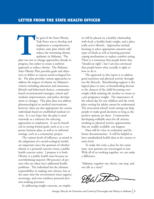he goal of the State Obesity Task Force was to develop and implement a comprehensive, realistic state plan which will reduce the worsening obesity epidemic in Alabama. The **THE SERVICE SERVICE SERVICE SERVICE SERVICE SERVICE SERVICE SERVICE SERVICE SERVICE SERVICE SERVICE SERVICE SERVICE SERVICE SERVICE SERVICE SERVICE SERVICE SERVICE SERVICE SERVICE SERVICE SERVICE SERVICE SERVICE SERVICE S** 

plan was not to change approaches already in progress, but rather to create a uniform approach to reduce obesity. The Alabama State Obesity Plan provides goals and objectives to follow at various social-ecological levels. The plan provides various approaches to address the impact of obesity on Alabama's citizens including education and awareness, lifestyle and behavioral choices, communitybased environmental strategies, school and worksite improvements, and policy development or changes. This plan does not address pharmacological or medical interventions, however, these are also appropriate for certain individuals based on established medical criteria. It is our hope that the plan is used statewide as a reference for selecting approaches to implement. It can be beneficial in setting formal goals, such as in a corporate business plan, as well as in informal settings, such as a community project.

The various levels of influence, as noted in the adaptation of a social-ecological model, are important since the question of whether obesity is a personal concern versus a public health concern exists. I propose it is both. Obesity is a public health issue because an overwhelming majority (80 percent) of persons who are obese have additional health problems. The individual has the ultimate responsibility in making wise choices, but at the same time the environment must support, encourage, and even reinforce personal decision-making processes.

In addressing weight concerns, an empha-

sis will be placed on a healthy relationship with food, a healthy body weight, and a physically active lifestyle. Approaches include learning to select appropriate amounts and types of foods as well as learning personal coping mechanisms to replace comfort eating. There is a consensus that people know they "should eat right", but I am less convinced that people know what actually is right or how to do it.

The approach in this report is to address good nutrition and physical activity throughout the lifecycle. Breastfeeding support is the logical place to start, as breastfeeding decreases the chances of the child becoming overweight while assisting the mother to return to a pre-pregnancy weight. The importance of the school day for our children and the work place setting for adults cannot be understated. The structured school/ work setting can help people to make good decisions as long as the positive options are there. Communities developing walkable areas for all citizens, resulting in physical activity opportunities that are readily available, can happen.

Data will be a key in evaluation and for future documentation. It will be helpful to have standardized health data at the county or town level.

To make this truly a plan for the entire state, new partners are encouraged to join. With all of us working together, we can make a difference.

"Alabama, together one choice, one step, and one life at a time!"

DEL ett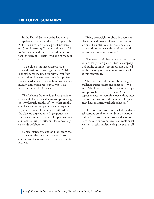In the United States, obesity has risen at an epidemic rate during the past 20 years. In 2003, 15 states had obesity prevalence rates of 15 to 19 percent; 31 states had rates of 20 to 24 percent; and four states had rates more than 25 percent. Alabama was one of the four states.

To develop a multifacet approach, a statewide task force was organized in 2004. The task force included representatives from state and local governments, medical professionals, academia and research, industry, community, and citizen representatives. This report is the result of their work.

The Alabama Obesity State Plan provides a statewide focus for reducing and preventing obesity through healthy lifestyles that emphasize balanced eating patterns and adequate physical activity. The strategies outlined in the plan are targeted for all age groups, races, and socioeconomic classes. This plan will not eliminate existing efforts, but does encourage statewide collaboration.

General statements and opinions from the task force set the tone for the overall goals and measurable objectives. These statements included:

"Being overweight or obese is a very complex issue with many different contributing factors. This plan must be passionate, creative, and innovative with solutions that do not simply mimic other states."

"The severity of obesity in Alabama makes our challenge even greater. Media campaigns and public education are important but will not be the only or best solution to a problem of this magnitude."

"Task force members must be willing to challenge current ideas and solutions. We must "think outside the box" when developing approaches to this problem. Our approach needs to combine prevention, intervention, evaluation, and research. This plan must have realistic, workable solutions."

The format of this report includes individual sections on obesity trends in the nation and in Alabama, specific goals and actions steps for each subcommittee, and tools or references to assist implementing the plan at all levels.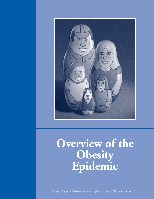

### **Overview of the Obesity Epidemic**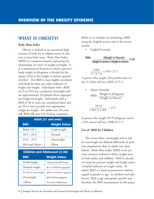#### **WHAT IS OBESITY?**

#### **Body Mass Index**

Obesity is defined as an excessively high amount of body fat or adipose tissue in relation to lean body mass. Body Mass Index (BMI) is a common measure expressing the relationship (or ratio) of weight-to-height. It is a mathematical formula in which a person's body weight in kilograms is divided by the square of his or her height in meters squared (wt/(ht)<sup>2</sup>. The BMI is more highly correlated with body fat than any other indicator of height and weight. Individuals with a BMI of 25 to 29.9 are considered overweight and are approximately 20 pounds above appropriate weight for height. Individuals with a BMI of 30 or more are considered obese and are 30 or more pounds over appropriate weight for height. For adults over 20 years old, BMI falls into one of these categories:

| Adult (21 and over) |                      |  |
|---------------------|----------------------|--|
| <b>BMI</b>          | <b>Weight Status</b> |  |
| <b>Below 18.5</b>   | Underweight          |  |
| $18.5 - 24.9$       | Normal               |  |
| $25.0 - 29.9$       | Overweight           |  |
| 30.0 and Above      | Obese                |  |

| <b>Children and Adolescent (2-20)</b> |                        |                                         |
|---------------------------------------|------------------------|-----------------------------------------|
|                                       | <b>BMI</b>             | <b>Weight Status</b>                    |
|                                       | Underweight            | <5th percentile BMI for age             |
|                                       | Normal weight          | $\geq$ 5 to <85 BMI for age/gender      |
|                                       | At risk for overweight | $\geq$ 85th to <95th BMI for age/gender |
|                                       | Overweight             | ≥95th BMI for age/gender                |
|                                       | Obese                  | Not used in children/teens              |

Below is an example of calculating a BMI using the English system and in the metric system.

• English Formula:

BMI= (Weight in Pounds) (Height in Inches X Height in Inches)  $- X 703$ 

$$
\frac{(220)}{(75 \times 75)} \times 703 = 27.5
$$

A person who weighs 220 pounds and is 6 feet 3 inches tall has a BMI of 27.5.

Metric Formula: Weight in Kilograms (Height in Meters)<sup>2</sup> BMI=

$$
\frac{99.79}{1.905 \text{ X } 1.905} = 27.5
$$

A person who weighs 99.79 kilograms and is 1.905 meters tall has a BMI of 27.5.

#### **Use of BMI for Children**

The terms obese, overweight and at risk for overweight are defined differently in pediatric populations than in adults (see chart below). Body Mass Index (BMI) is the primary measure utilized to define weight stats in both adults and children. BMI is calculated using the person's weight and height and is a helpful indicator of weight status. In adults, BMI is a fixed measurement without regard to gender or age. In children and adolescent, BMI is age and gender specific and therefore the BMI measurement in this popu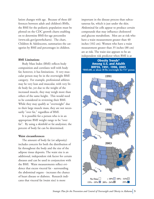lation changes with age. Because of these differences between adult and children's BMIs, the BMI for the pediatric population must be plotted on the CDC growth charts enabling on to determine BMI-for-age percentiles (www.edc.gov/growthcharts). The chart, Children & Adolescents, summarizes the categories by BMI and percentages in children.

#### **BMI Limitations**

Body Mass Index (BMI) reflects body composition and correlates well with body fat; however, it has limitations. A very muscular person may be in the overweight BMI category. For example, professional athletes may be very lean and muscular, with very little body fat, yet due to the weight of the increased muscle, they may weigh more than others of the same height. This would need to be considered in reviewing their BMI. While they may qualify as "overweight" due to their large muscle mass, they are not necessarily "over fat," regardless of BMI.

It is possible for a person who is in an appropriate BMI weight range to be "over fat". By using a skinfold or fat analysizer, the percent of body fat can be determined.

#### **Waist circumferences**

The amount of body fat (or adiposity) includes concern for both the distribution of fat throughout the body and the size of the adipose tissue deposits. The waist size is an additional, independent risk factor for certain diseases and can be used in conjunction with the BMI. Waist measurements reflect evidence that excess visceral fat - surrounding the abdominal organs - increases the chance of heart disease or diabetes. Research indicates that visceral fat (waist size) is more

important in the disease process than subcutaneous fat, which is just under the skin. Abdominal fat cells appear to produce certain compounds that may influence cholesterol and glucose metabolism. Men are at risk who have a waist measurement greater than 40 inches (102 cm). Women who have a waist measurement greater than 35 inches (88 cm) are at risk. The waist size appears to be an independent risk predictor when BMI is at

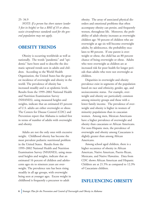#### 25- 34.9

*NOTE: If a person has short stature (under 5 feet in height) or has a BMI of 35 or above, waist circumference standards used for the general population may not apply*.

#### **OBESITY TRENDS**

Obesity is occurring worldwide as well as nationally. The words "pandemic" and "epidemic" have been used to describe the dramatic upward trends seen in adults and children. According to the World Health Organization, the United States has the greatest incidence of overweight and obesity in the world. The prevalence of obesity has increased steadily and is at epidemic levels. Results from the 1999–2002 National Health and Nutrition Examination Survey (NHANES), using measured heights and weights, indicate that an estimated 65 percent of U.S. adults are either overweight or obese. The Centers for Disease Control (CDC) and Prevention report that Alabama is ranked first in terms of number of adults with overweight and obesity.

Adults are not the only ones with excessive weight. Childhood obesity has become the most prevalent pediatric nutritional problem in the United States. Results from the 1999–2002 National Health and Nutrition Examination Survey (NHANES), using measured heights and weights, indicate that an estimated 16 percent of children and adolescents ages six to nineteen years are overweight. The prevalence rate has been rising steadily in all age groups, with overweight being seen at younger ages. Excess weight in childhood is frequently a precursor to adult

obesity. The array of associated physical disorders and emotional problems that often accompany obesity can persist, and frequently worsen, throughout life. Moreover, the probability of adult obesity increases as overweight children age: 50 percent of children who are overweight at age six will become overweight adults, by adolescence, the probability escalates to 80 percent. If one parent is overweight or obese, the child has an 80 percent chance of being overweight or obese. Adults who were overweight as children are at increased risk for poor health for longer periods than adults who were not overweight as children.

Disparities in overweight and obesity prevalence exist in segments of the population based on race and ethnicity, gender, age, and socioeconomic status. For example, overweight and obesity are particularly common among minority groups and those with a lower family income. The prevalence of overweight and obesity is higher in women of minority populations than in caucasian women. Among men, Mexican Americans have a higher prevalence of overweight and obesity than caucasians or African Americans. For non-Hispanic men, the prevalence of overweight and obesity among Caucasians is slightly greater than among African Americans.

Among school aged children, there is a higher occurence of obesity in African American, Native American, Puerto Rican, Mexicans, and Native Hawaiins. Data from CDC shows African American and Hispanic Children are at 21.5% as compared to 12.3% of Caucasians children.

#### **INFLUENCING OBESITY**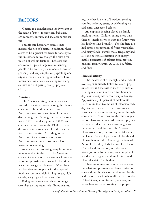#### **FACTORS**

Obesity is a complex issue. Body weight is the result of genes, metabolism, behavior, environment, culture, and socioeconomic status.

Specific rare hereditary diseases may increase the risk of obesity. In addition, there seems to be a general tendency for obesity to run in some families, though the reason for this is not well understood. Behavior and environment play a large role influencing people to be overweight and obese. However, generally and very simplistically speaking obesity is a result of an energy imbalance. This means most Americans are eating too many calories and not getting enough physical activity.

#### **Nutrition**

The American eating pattern has been studied to identify reasons causing the obesity epidemic. The studies indicate that Americans have lost perception of the standard serving size. Serving sizes started growing in 1970, rose sharply in the 1980's, and continued to increase in the 1990's. It was during this time Americans lost the perception of a serving size. According to the American Diabetic Association, most Americans overestimate how much food makes up one serving.

Americans are also eating away from home more now than in the past. The American Cancer Society reports that servings in restaurants are approximately two and a half times what the average female needs. When large portion sizes are coupled with the types of foods we consume, high fat, high sugar, high calorie, weight gain is not a surprise.

Eating for reasons not related to hunger also plays an important role. Emotional eating, whether it is out of boredom, seeking comfort, relieving stress, or celebrating, can add extra, unexpected calories.

An emphasis is being placed on family meals at home. Children eating more than three (3) meals per week with the family were less likely to skip breakfast. The children also had better consumption of fruits, vegetables, and diary foods. Family meals frequency had a strong positive association with energy intake, percentage of calories from protein, calcium, iron, vitamins A, C, E, B6, folate, and fiber.

#### **Physical activity**

The incidence of overweight and at risk of overweight is directly linked to lack of physical activity and increase in inactivity, such as viewing television more than two hours per day. Our society has become very sedentary. Approximately 43 percent of adolescents watch more than two hours of television each day. Girls are less active than boys are and become even less active as they move through adolescence. Numerous health-related organizations have recommended increased physical activity in order to decrease overweight and the associated risk factors. The American Heart Association, the Institute of Medicine, the United States Department of Health and Human Services, the U. S. Surgeon General, Action for Healthy Kids, Centers for Disease Control and Prevention, and the Robert Wood Johnson Foundation, are examples of health-related agencies calling for increased physical activity for children.

There are numerous reports that evaluate the relationship between academic performance and health behavior. Action for Healthy Kids reports that in school districts across the United States, administrators, teachers, and researchers are demonstrating that proper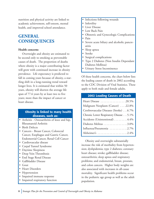nutrition and physical activity are linked to academic achievement, self-esteem, mental health, and improved school attendance.

#### **GENERAL CONSEQUENCES**

#### **Health concerns**

Overweight and obesity are estimated to be second only to smoking as preventable causes of death. The proportion of deaths where obesity is a major contributing factor will grow with continued increase in obesity prevalence. Life expectancy is predicted to fall in coming years because of obesity, a startling shift in a long-running trend toward longer lives. It is estimated that within 50 years, obesity will shorten the average life span of 77.6 years by at least two to five years; more than the impact of cancer or heart disease.

#### **Obesity is linked to many health diseases, such as:**

- Arthritis Osteoarthritis of knee and hip, Rheumatoid Arthritis
- Birth Defects
- Cancers Breast Cancer, Colorectal Cancer, Esophagus and Gastric Cancer, Endometrial Cancer, Renal Cell Cancer
- Cardiovascular disease
- Carpal Tunnel Syndrome
- Daytime Sleepiness
- Deep Vein Thrombosis
- End Stage Renal Disease
- Gallbladder Disease
- Gout
- Heart Disorders
- **Hypertension**
- Impaired immune response
- Impaired respiratory function
- Infections following wounds
- Infertility
- Liver Disease
- Low Back Pain
- Obstetric and Gynecologic Complications
- Pain
- Severe acute biliary and alcoholic pancreatitis
- Sleep apnea
- Stroke
- Surgical complications
- Type 2 Diabetes (Non Insulin Dependant Diabetes Mellitus)
- Urinary Stress Incontinence

Of these health concerns, the chart below lists the leading causes of death in 2002 according to the CDC Division of Vital Statistics. These apply to both male and female adults.

#### **2002 Leading Causes of Death**

Obesity and overweight substantially increase the risk of morbidity from hypertension; dyslipidemia; type 2 diabetes; coronary heart disease; stroke; gallbladder disease; osteoarthritis; sleep apnea and respiratory problems; and endometrial, breast, prostate, and colon cancers. Higher body weights are also associated with increases in all-cause mortality. Significant health problems occur in the pediatric age group as well as the adult population.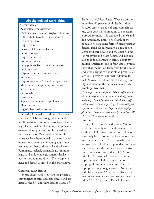#### **Obesity Related Morbidities**

Cardiovascular Accelerated atherosclerosis Dyslipidemia (increased triglycerides, low HDL cholesterol level, increased LDL cholesterol level) Hypertension Increased left ventricular mass Endocrinologic Hyperinsulinemia Insulin resistance Early puberty (accelerated linear growth and bone age) Polycystic ovaries, dysmenorrhea Respiratory Hypoventilation (Pickwickian syndrome) More frequent respiratory infections Sleep apnea **Orthopedic** Coxa vara Slipped capital femoral epiphyses Blount's disease Legg-Calve-Perthes disease

Obesity is linked to cardiovascular disease and type 2 diabetes through the promotion of insulin resistance and other associated physiological abnormalities, including dyslipidemia, elevated blood pressure, and increased left ventricular mass. Overweight and insulin resistance have been linked to the early development of atheromata in young adults independent of other cardiovascular risk factors. Pulmonary, skeletal, dermatologic, immunologic, and endocrinologic systems display obesity-related morbidities. These apply to male and female as noted in the chart above.

#### **Cardiovascular Health**

Heart disease and stroke are the principal components of cardiovascular disease and are listed as the first and third leading causes of

death in the United States. They account for more than 40 percent of all deaths. About 950,000 Americans die of cardiovascular disease each year, which amounts to one death every 33 seconds. It is estimated that 61 million Americans, almost one-fourth of the population, have some form of cardiovascular disease. High blood pressure is a major risk factor for heart disease and the chief risk factor for stroke and heart failure, and also can lead to kidney damage. It affects about 50 million Americans–one in four adults. Studies show that the risk of death from heart disease and stroke begins to rise at blood pressures as low as 115 over 75, and that it doubles for each 20 over 10 millimeters of mercury (mm Hg) increase. So, the harm starts long before people get treatment.

*"Unless prevention steps are taken, stiffness and other damage to arteries worsen with age and make high blood pressure more and more difficult to treat. The new pre-hypertension category reflects this risk and, we hope, will prompt people to take preventive action early" said NHLBI Director Dr. Claude Lenfant.*

#### **Cancers**

Fat cells are not static deposits. Visceral fat is metabolically active and increased visceral fat is linked to certain cancers. Obesity is strongly linked to cancer of the uterine lining or endometrium. An overweight woman has twice the risk of developing that cancer as a lean one; once she becomes obese the risk rises as much as three and a half (3.5) to five (5) fold. A person who is obese has up to triple the risk of kidney cancer and of esophageal cancer as does someone in an appropriate body weight range. Overweight and obese men are 50 percent as likely as lean men to get colon cancer; for women the extra risk is 20 to 50 percent. Fat is linked to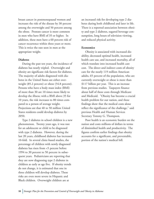breast cancer in postmenopausal women and increases the risk of the disease by 30 percent among the overweight and 50 percent among the obese. Prostate cancer is more common in men who have BMI of 35 or higher. In addition, these men have a 60 percent risk of cancer recurrence within three years or more. This is twice the rate seen in men at the appropriate weight.

#### **Diabetes**

During the past ten years, the incidence of diabetes has nearly tripled. Overweight and obesity are significant risk factors for diabetes. The majority of adults diagnosed with diabetes in the United States are either overweight (85.2 percent) or obese (54.8 percent). Persons who have a body mass index (BMI) of more than 30 are 10 times more likely to develop the illness; with a BMI above 35 for 10 years, the risk increases to 80 times compared to a person of average weight. Projections are that 40 to 50 million United States residents could develop diabetes by 2050.

Type 2 diabetes in school children is a new phenomenon. Twenty years ago, it was rare for an adolescent or child to be diagnosed with type 2 diabetes. However, during the last 20 years, childhood diabetes has increased 10-fold. In several clinic-based studies, the percentage of children with newly diagnosed diabetes has risen from <5 percent before 1994 to 30 percent to 50 percent in subsequent years. Pediatricians are reporting that they are now diagnosing type 2 diabetes in children as early as age five. If obesity trends do not change, it is estimated that one in three children will develop diabetes. These risks are even more severe in Hispanic and Black children. Overweight children are at

an increased risk for developing type 2 diabetes during both childhood and later in life. There is a reported association between obesity and type 2 diabetes, sugared beverage consumption, long hours of television viewing, and reduced physical activity.

#### **Economics**

Obesity is associated with increased disability, decreased optimal health, increased health care use, and increased mortality, all of which translate into increased health care cost. The direct and indirect costs of obesity care for the nearly 119 million American adults, 65 percent of the population, who are currently overweight or obese is more than \$117 billion per year. This is an increase from previous studies. Taxpayers finance about half of these costs through Medicare and Medicaid. "Obesity has become a crucial health problem for our nation, and these findings show that the medical costs alone reflect the significance of the challenge," said previous Health and Human Services Secretary Tommy G. Thompson.

Poor health is an economic burden on the nation and costs millions of dollars in terms of diminished health and productivity. The figures confirm earlier findings that obesity accounts for a significant, and preventable, portion of the nation's medical bill.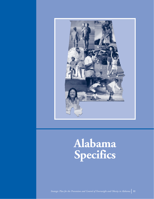

### **Alabama Specifics**

*Strategic Plan for the Prevention and Control of Overweight and Obesity in Alabama* **11**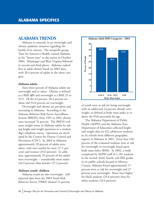#### **ALABAMA TRENDS**

Alabama is currently in an overweight and obesity epidemic situation regarding the health of its citizens. The nonprofit group, Trust for America's Health, named Alabama as the "fattest state" in the nation in October 2004. Mississippi and West Virginia followed in second and third places. Alabama ranked first in adult obesity based on 2003 data, with 28.4 percent of adults in the obese category.

#### **Alabama adults**

Sixty-three percent of Alabama adults are overweight and or obese. Obesity is defined as a BMI ≥30 and overweight is a BMI 25 to 29.9. Of the 63 percent, 28.4 percent are obese and 34.8 percent are overweight.

Overweight and obesity are prevalent and increasing in Alabama. According to the Alabama Behavior Risk Factor Surveillance System (BRFSS), from 1991 to 2001 obesity rates increased 76 percent. The BRFSS evaluates weight status in Alabama adults by asking height and weight questions in a random digit telephone survey. Questions are developed by the Centers for Disease Control and Prevention (CDC). In 2003 in Alabama, approximately 28 percent of adults were obese, with rates similar for men (27.1 percent) and women (29.6 percent). In addition, approximately 35 percent of the adults were overweight -- considerably more males (42.9 percent) than females (27.3 percent).

#### **Alabama youth/ children**

Alabama youth are also overweight. Selfreported data from the 2003 Youth Risk Behavior Survey (YRBS) showed 14 percent



of youth were at risk for being overweight with an additional 14 percent already overweight, as defined as body mass index at or above the 95th percentile for age.

The Alabama Department of Public Health (ADPH) and the Alabama State Department of Education collected height and weight data on 822 adolescent students in six schools from different geographic regions in Alabama in 2001. Forty four (44) percent of the evaluated students were at risk for overweight or overweight based upon body mass index (BMI). In 2002, a study completed by ADPH staff of 1,182 students in the second, third, fourth, and fifth grades in six public schools located in Monroe County, Alabama found approximately 17 percent were at risk for overweight and 27 percent were overweight. Rates were higher for black students (29.8 percent) than for white students (23.6 percent).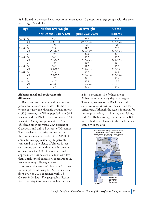| As indicated in the chart below, obesity rates are above 20 percent in all age groups, with the excep- |  |  |
|--------------------------------------------------------------------------------------------------------|--|--|
| tion of age 65 and older.                                                                              |  |  |

| <b>Age</b>             | <b>Neither Overweight</b> | <b>Overweight</b> | <b>Obese</b>  |
|------------------------|---------------------------|-------------------|---------------|
|                        | nor Obese (BMIS24.9)      | $(BMI 25.0-29.9)$ | <b>BMI≥30</b> |
| 18-24<br>$\%$          | 53.1                      | 26.7              | 20.3          |
| CI                     | $(45.3 - 60.9)$           | $(19.3 - 34.0)$   | 14.5-26.0     |
| $\mathbf n$            | 124                       | 49                | 54            |
| $0/0$<br>$25 - 34$     | 39.8                      | 31.2              | 29.0          |
| CI                     | 35.1-44.6                 | 26.6-35.7         | 24.5-33.5     |
| $\mathbf n$            | 208                       | 148               | 141           |
| 35-44<br>$\%$          | 30.3                      | 36.3              | 33.3          |
| <b>CI</b>              | 26.1-34.5                 | 31.7-40.9         | 28.8-37.9     |
| $\mathbf n$            | 190                       | 187               | 181           |
| 45-54<br>$0/0$         | 28.9                      | 37.3              | 33.8          |
| CI                     | 24.9-32.9                 | 32.8-41.9         | 29.5-38.1     |
| 55-64<br>$\%$          | 29.4                      | 36.6              | 34.1          |
| <b>CI</b>              | 25.3-33.5                 | 32.1-41.0         | 29.7-38.4     |
| $\mathbf n$            | 179                       | 202               | 199           |
| $\frac{0}{0}$<br>$65+$ | 41.7                      | 39.4              | 18.9          |
| <b>CI</b>              | 37.7-45.6                 | 35.4-43.4         | 15.7-22.1     |
| n                      | 310                       | 268               | 129           |

#### **Alabama racial and socioeconomic differences**

Racial and socioeconomic differences in prevalence rates are also evident. In the overweight category, the Hispanic population was at 50.3 percent, the White population at 34.7 percent, and the Black population was at 32.4 percent. Obesity was prevalent in 37 percent of African american versus 26.5 percent of Caucasian, and only 14 percent of Hispanics. The prevalence of obesity among persons at the lowest income levels (less than \$15,000 annually) was approximately 32 percent, compared to a prevalence of almost 25 percent among persons with annual incomes at or exceeding \$50,000. Obesity occurred in approximately 28 percent of adults with less than a high school education, compared to 22 percent among college graduates.

A geographic study of obesity in Alabama was completed utilizing BRFSS obesity data from 1995 to 2000 combined with US Census 2000 data. The geographic distribution of obesity illustrates the highest burden

is in 16 counties, 15 of which are in Alabama's economically depressed region. This area, known as the Black Belt of the state, was once known for the dark soil for agriculture. Although the region is known for timber production, rich hunting and fishing, and Civil Rights history, the term Black Belt, has evolved to a reference to the predominate ethnicity in the area.

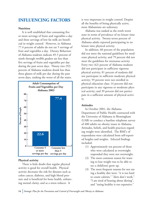#### **INFLUENCING FACTORS**

#### **Nutrition**

It is well established that consuming five or more servings of fruits and vegetables a day and three servings of low fat milk are beneficial in weight control. However, in Alabama 77.4 percent of adults do not eat 5 servings of fruit and vegetables a day. Dietary Behaviors of Alabama students indicate 85.5 percent of ninth through twelfth graders ate less than five servings of fruits and vegetables per day during the past seven days. Ninety two (92) percent of Alabama students drank less than three glasses of milk per day during the past seven days, ranking the worst of all the states.



#### **Physical activity**

There is little doubt that regular physical activity is good for overall health. Physical activity decreases the risk for diseases such as colon cancer, diabetes, and high blood pressure and is beneficial for bone health, enhancing mental clarity, and as a stress reducer. It

is very important in weight control. Despite all the benefits of being physically active, most Alabamians are sedentary.

Alabama was ranked as the tenth worst state in terms of prevalence of no leisure time physical activity. Twenty-seven percent of Alabama adults reported participating in no leisure time physical activity.

In addition, 60 percent of the population did not meet the national guidelines for moderate physical activity, and 79 percent did not meet the guidelines for strenuous activity. Forty two (42) percent of Alabama students did not participate in sufficient vigorous physical activity; 81 percent of students did not participate in sufficient moderate physical activity; 59 percent were not enrolled in physical education class; 14 percent did not participate in any vigorous or moderate physical activity; and 39 percent did not participate in a sufficient amount of physical activity.

#### **Attitudes**

In October 2001, the Alabama Department of Public Health contracted with the University of Alabama in Birmingham (UAB) to conduct a baseline telephone survey of 400 adults on obesity issues in Alabama. Attitudes, beliefs, and health practices regarding weight were identified. The BMI's of respondents were calculated from self-reported heights and weights. Selected findings included:

- (1) Approximately ten percent of those who were calculated as overweight responded they were not overweight.
- (2) The most common reason for wanting to lose weight was to be able to see a child(ren) grow up.
- (3) The most frequent reasons for not eating a healthy diet were: "it is too hard to count calories," "diets don't work," "I am tired of hearing about dieting", and "eating healthy is too expensive."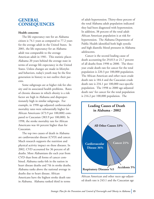#### **GENERAL CONSEQUENCES**

#### **Health concerns**

The life expectancy rate for an Alabama citizen is 74.1 years as compared to 77.2 years for the average adult in the United States. In 2001, the life expectancy for an Alabama adult was comparable to the average American adult in 1981. This statistic places Alabama 20 years behind the average state in terms of average life expectancy in the United States. Unless changes are made in lifestyles and behaviors, today's youth may be the first generation in history to not outlive their parents.

Some subgroups are at higher risk for obesity and its associated health problems. Rates of chronic diseases in which obesity is a risk factor are high in Alabama and disproportionately high in similar subgroups. For example, in 1998 age-adjusted cardiovascular mortality rates were substantially higher for African Americans (473.9 per 100,000) compared to Caucasian (383.9 per 100,000). In 1998, the stroke mortality rate for African Americans was 44 percent higher than for Caucasian.

The top two causes of death in Alabama are cardiovascular disease (CVD) and cancer. Much research supports the nutrition and physical activity impact on these diseases. In 2002, CVD accounted for 36 percent of all deaths. More Alabamians die each year from CVD than from all forms of cancer combined. Alabama ranks 6th in the nation in heart disease deaths and 7th in stroke deaths. Alabama ranks above the national average in deaths due to heart disease. African Americans have the highest stroke death rate in Alabama. Alabama ranked third in terms

of adult hypertension. Thirty-three percent of the total Alabama adult population indicated they had been diagnosed with hypertension. In addition, 38 percent of the total adult African American population is at risk for hypertension. The Alabama Department of Public Health identified both high systolic and high diastolic blood pressures in Alabama adolescents.

Cancer is the second leading cause of death accounting for 29,013 or 21.7 percent of all deaths from 1998 to 2000. The threeyear crude death rate for cancer for the total population is 220.3 per 100,000 population. The African American and other races crude death rate is 184.4 and the Caucasian crude death rate is 234.1 per 100,000 race-specific population. The 1998 to 2000 age-adjusted death rate<sup>1</sup> for cancer for the total population is 216.2 per 100,000 population. The



African American and other races age-adjusted death rate is 243.1 and the Caucasian age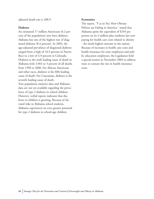adjusted death rate is 208.9.

#### **Diabetes**

An estimated 17 million Americans (6.2 percent of the population) now have diabetes. Alabama has one of the highest rate of diagnosed diabetes (8.4 percent). In 2003, the age-adjusted prevalence of diagnosed diabetes ranged from a high of 10.9 percent in Puerto Rico to a low of 4.9 percent in Colorado. Diabetes is the sixth leading cause of death in Alabama with 3,964 or 3 percent of all deaths from 1998 to 2000. For African Americans and other races, diabetes is the fifth leading cause of death. For Caucasians, diabetes is the seventh leading cause of death. True population statistics data and Alabama data are not yet available regarding the prevalence of type 2 diabetes in school children. However, verbal reports indicates that diabetes in children is growing. Because of elevated risks in Alabama school students, Alabama experiences an even greater potential for type 2 diabetes in school-age children.

#### **Economics**

The report, "F as in Fat: How Obesity Policies are Failing in America," stated that Alabama spent the equivalent of \$293 per person on its 4 million plus residents last year paying for health care costs related to obesity - the ninth highest amount in the nation. Because of increases in health care costs and health insurance for state employees and public education employees, the Legislature held a special session in November 2004 to address ways to contain the rise in health insurance costs.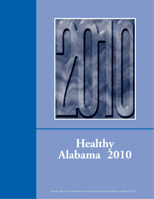

# **Healthy Alabama 2010**

*Strategic Plan for the Prevention and Control of Overweight and Obesity in Alabama* **17**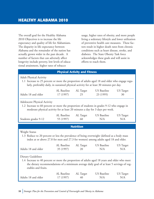The overall goal for the Healthy Alabama 2010 Objectives is to increase the life expectancy and quality of life for Alabamians. The disparity in life expectancy between Alabama and the remainder of the nation has actually grown wider in the past decade. A number of factors that can adversely affect longevity include poverty, low levels of educational attainment, higher rates of tobacco

usage, higher rates of obesity, and more people living a sedentary lifestyle and lower utilization of preventive health care measures. These factors result in higher death rates from chronic conditions such as heart disease, stroke, and diabetes. The State Obesity Task force acknowledges these goals and will assist in efforts to reach them.

|                                                                                                                                                                                                                                         |                          | <b>Physical Activity and Fitness</b> |                           |                         |
|-----------------------------------------------------------------------------------------------------------------------------------------------------------------------------------------------------------------------------------------|--------------------------|--------------------------------------|---------------------------|-------------------------|
| <b>Adult Physical Activity</b><br>1.1 Increase to 25 percent or more the proportion of adults aged 18 and older who engage regu-<br>larly, preferably daily, in sustained physical activity for at least 30 minutes per day.            |                          |                                      |                           |                         |
| Adults 18 and older                                                                                                                                                                                                                     | AL Baseline<br>17 (1997) | AL Target<br>25                      | US Baseline<br>23 (1995)  | <b>US</b> Target<br>30  |
| <b>Adolescent Physical Activity</b><br>1.2 Increase to 60 percent or more the proportion of students in grades 9-12 who engage in<br>moderate physical activity for at least 20 minutes a day for 3 days per week.                      |                          |                                      |                           |                         |
| Students grades 9-12                                                                                                                                                                                                                    | AL Baseline<br>55 (1997) | AL Target<br>60                      | US Baseline<br>N/A        | US Target<br>N/A        |
|                                                                                                                                                                                                                                         |                          |                                      |                           |                         |
|                                                                                                                                                                                                                                         |                          | <b>Nutrition</b>                     |                           |                         |
| Weight Status<br>1.3 Reduce to 20 percent or less the prevalence of being overweight (defined as a body mass<br>index at or above 27.8 for men and 27.3 for women) among adults aged 18 and older.                                      |                          |                                      |                           |                         |
| Adults 18 and older                                                                                                                                                                                                                     | AL Baseline<br>35 (1997) | AL Target<br>20                      | <b>US</b> Baseline<br>N/A | <b>US</b> Target<br>N/A |
| Dietary Guidelines<br>1.4 Increase to 40 percent or more the proportion of adults aged 18 years and older who meet<br>the dietary recommendations of a minimum average daily goal of at least 5 servings of veg-<br>etables and fruits. |                          |                                      |                           |                         |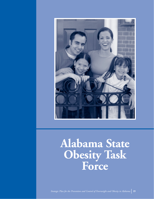

### **Alabama State Obesity Task Force**

*Strategic Plan for the Prevention and Control of Overweight and Obesity in Alabama* **19**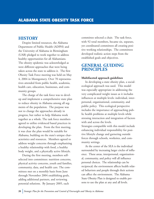#### **HISTORY**

Despite limited resources, the Alabama Department of Public Health (ADPH) and the University of Alabama in Birmingham (UAB) pledged to work together to address healthy opportunities for all Alabamians. The obesity epidemic was acknowledged as were different approaches that were being taken across the state to address it. The first Obesity Task Force meeting was held on May 4, 2004 in Montgomery. Over 70 representatives attended from public health, academia, health care, education, businesses, and community groups.

The charge of the task force was to develop and implement a comprehensive state plan to reduce obesity in Alabama among all segments of the population. The purpose was not to change the approaches already in progress, but rather to help Alabama work together as a whole. The task force members agreed to utilize evidenced based practices in developing the plan. From the first meeting, it was clear the plan would be suitable for Alabama, building on the state's unique characteristics and resources. Members agreed to address weight concerns through emphasizing a healthy relationship with food, a healthy body weight, and a physically active lifestyle.

During the first meeting, members selfselected into committees: nutrition concerns, physical activity concerns, youth and families, community, data, and health care. The committees met on a monthly basis from June through November 2004 establishing goals, adding additional partners, and reviewing potential solutions. By January 2005, each

committee selected a chair. The task force, with 92 total members, became six, separate, yet coordinated committees all creating positive working relationships. The committees developed realistic action steps from the established goals and objectives.

#### **GENERAL GUIDING PRINCIPLES**

#### **Multifaceted approach guidelines**

In developing a state obesity plan, a socialecological approach was used. This model was especially appropriate in addressing the very complicated weight issues as it includes influences at multiple levels: individual, interpersonal, organizational, community, and public policy. This ecological perspective includes the importance of approaching public health problems at multiple levels while stressing interaction and integration of factors with and across the levels. Strategies compatible with this model include enhancing individual responsibility for positive lifestyle change and garnering outside forces through schools, worksites, and community settings.

At the center of the SEA is the individual surrounded by increasing larger circles of influence. These areas, interpersonal, organizational, community, and policy will all influence personal choices. The relationship can be reciprocal; the environment affects health related behaviors and people through their actions can affect the environment. The Alabama State Obesity Plan is designed to enable persons to use the plan at any and all levels.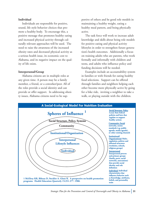#### **Individual**

Individuals are responsible for positive, sound, life style behavior choices that promote a healthy body. To encourage this, a positive message that promotes healthy eating and increased physical activity through culturally relevant approaches will be used. The need to raise the awareness of the increased obesity rates and decreased physical activity as a serious health issue, its economic cost to Alabama, and its negative impact on the quality of life exists.

#### **Interpersonal/Group**

Alabama citizens are in multiple roles at any given time. A person may be a family member, a friend, or a coworker/peer. All of the roles provide a social identity and can provide or offer support. In addressing obesity issues, Alabama citizens need to be supportive of others and be good role models in maintaining a healthy weight, eating a healthy meal pattern, and being physically active.

The task force will work to increase adult knowledge and skills about being role models for positive eating and physical activity lifestyles in order to strengthen future generation's health outcomes. Additionally a focus on training adults who are parents, who work formally and informally with children and teens, and adults who influence policy and funding decisions will be needed.

Examples include an accountability system in families or with friends for eating healthy food selections. Support can be offered through families and neighbors helping each other become more physically active by going for a bike ride, inviting a neighbor to take a walk, or playing outside with the children.

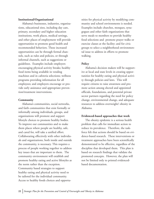#### **Institutional/Organizational**

Alabama's businesses, industries, organizations, educational sites, including day care, primary, secondary and higher education institutions, work places, medical settings, and other places of employment will provide opportunities to promote good health and recommended behaviors. These increased opportunities can be through formal channels, such as rules and policies, or through informal channels, such as suggestions or guidelines. Examples include employers encouraging physical activity breaks; healthy food items being available in vending machines and in cafeteria selections; wellness programs providing information for all employees; and employers encourage or provide early assistance and appropriate prevention/treatment interventions.

#### **Community**

Alabama's communities, social networks, and faith communities that exist formally or informally among individuals, groups, and organizations will promote and support lifestyle choices to promote healthy bodies. To improve our communities and to make them places where people are healthy, safe, and cared for, will take a unified effort. Collaborating effectively with other individuals and organizations, both inside and outside the community, is necessary. This requires a process of people working together to address key issues that are important to them. The community environment will establish and promote healthy eating and active lifestyles as the norm rather than the exception. Community based strategies to support healthy eating and physical activity need to be tailored for the individual community. Access to healthy foods choices and opportunities for physical activity by modifying community and school environments is needed. Examples include churches, mosques, synagogues and other faith organizations that serve meals to members to provide healthy food selections and promote prayer walks or exercise classes at the facility; and for civic groups to select a neighborhood environmental issue to address in efforts to promote walking.

#### **Policy**

Alabama's decision makers will be supportive at local and state levels in creating opportunities for healthy eating and physical activity through policies and laws. This will require citizens to raise awareness and promote action among elected and appointed officials, foundations, and potential private sector partners regarding the need for policy change, environmental change, and adequate resources to address overweight/ obesity in Alabama.

#### **Evidenced-based approaches that work**

The obesity epidemic is a serious health problem that calls for immediate action to reduce its prevalence. Therefore, the taskforce felt that actions should be based on evidence-based research. These interventions or treatment approaches have been scientifically demonstrated to be effective, regardless of the discipline that developed them. This plan is based on research findings that validate the promoted concepts. However, the plan will not be limited only to printed evidencedbased documentation.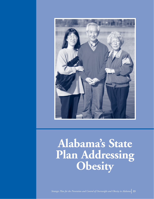

# **Alabama's State Plan Addressing Obesity**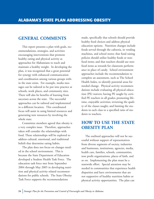#### **GENERAL COMMENTS**

This report presents a plan with goals, recommendations, strategies, and activities encouraging interventions that promote healthy eating and physical activity as approaches for Alabamians to reach and maintain a healthy weight. In developing the plan, it was recognized that a great potential for synergy with enhanced communication and coordination among various groups within the state exists. For example, media messages can be tailored to be put into practice at schools, work places, and community sites. There will also be benefits of learning from successes across the state. The successful approaches can be tailored and implemented in a different location. This coordinated focus will assist in using limited resources and generating new resources by involving the whole state.

Committee members agreed that obesity is a very complex issue. Therefore, approaches taken will consider the relationships with food. These relationships will be explored to address cultural, emotional, and traditional beliefs that determine eating habits.

The plan does not focus on changes needed in the school environment. This is because the State Department of Education developed a Student Health Task Force. The education task force met from September 2004 through May 2005 in developing nutrition and physical activity related recommendations for public schools. The State Obesity Task Force supports the recommendations

made, specifically that schools should provide healthy food choices and address physical education options. Nutrition changes include foods served through the cafeteria, in vending machines, and school stores; that fund raising policies should utilize healthy foods or nonfood items; and that teachers should use nonfood items as rewards for classroom performance in place of candy. School environment approaches include the recommendation to complete an assessment, such as The School Health Index, to identify potential areas for needed change. Physical activity recommendations include evaluating all physical education (PE) waivers; having PE taught by certified PE teachers in all grades; promoting lifetime, enjoyable activities; reviewing the quality of the classes taught; and limiting the students in each class to a specified ratio of students to teachers.

#### **HOW TO USE THE STATE OBESITY PLAN**

The outlined approaches will not be successful without support of representatives from diverse segments of society, industries and businesses, institutions, agencies, media, health care, families, schools, communities, non profit organizations, places of faith, and so on. Implementing the plan must be a statewide effort. Special attention may be needed in communities that experience health disparities and have environments that are not supportive of healthy nutrition habits or physical activity opportunities. The plan can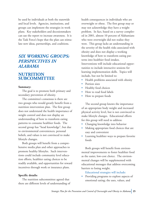be used by individuals at both the statewide and local levels. Agencies, institutions, and groups can implement the strategies in work plans. Key stakeholders and decosionmakers can use the report to increase awareness. It is the Task Force's hope that the plan can stimulate new ideas, partnerships, and coalitions.

#### *SIX WORKING GROUPS: PERSPECTIVES IN ALABAMA*

#### **NUTRITION SUBCOMMITTEE**

#### **Summary:**

The goal is to promote both primary and secondary prevention of obesity.

The committee's consensus is there are two groups who would greatly benefit from a nutrition intervention plan. The first group does not understand the health importance of weight control and does not display an understanding of how to transform eating patterns to consume healthier foods. The second group has "head knowledge", but due to environmental conveniences, personal beliefs, and values is not convinced to make lifestyle changes.

Both groups will benefit from a comprehensive media plan and other approaches to promote healthy lifestyles. Such interventions could include community level education efforts, healthier eating choices to be readily available, and opportunities for reward incentives through work or insurance plans.

#### **Specific details:**

The nutrition subcommittee agreed that there are different levels of understanding of health consequences in individuals who are overweight or obese. The first group may or may not acknowledge they have a weight problem. In fact, based on a survey completed in 2001, almost 10 percent of Alabamians who were overweight did not realize they were. This group lacks an understanding in the severity of the health risks associated with obesity and does not display a working knowledge of how to transform eating patterns into healthier food intakes. Interventions will include educational opportunities to include interactive sessions for learning implementation skills. Topics will include, but not be limited to:

- Health problems associated with obesity
- Portion sizes
- Healthy food choices
- How to read food labels
- How to prepare foods

The second group knows the importance of an appropriate body weight and increased physical activity level, but is not convinced to make lifestyle changes. Educational efforts for this group will need to address:

- Changing knowledge into behavior
- Making appropriate food choices that are easy and convenient
- Learning healthier ways to prepare favorite foods

Both groups will benefit from environmental improvements to foster healthier food as the easier, low-cost choice. The environmental changes will be supplemented with educational messages that address overcoming barriers to losing weight.

Educational strategies will include:

• Providing programs to explore aspects of emotional eating; the uses, values, and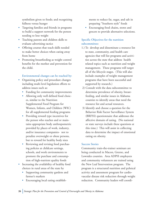symbolism given to foods; and recognizing fullness versus hunger

- Targeting families and friends in programs to build a support network for the person needing to lose weight
- Teaching parents and children skills to evaluate advertising tactics
- Offering courses that teach skills needed to make better choices when eating away from home
- Promoting breastfeeding as weight control benefits for the mother and prevention for the child.

#### Environmental changes can be reached by:

- Organizing policy and procedure changes including multi level legislation efforts to address issues such as:
	- Funding for community improvements
	- Allowing only well defined food choices, similar to the Nutrition Supplemental Food Program for Women, Infants, and Children (WIC) for all supplemental feeding programs
	- Providing reward type incentives for the person who reaches and or maintains appropriate body anthropometric provided by places of work, industry, and/or insurance companies- not to penalize overweight or obese persons, but to reward for healthy body sizes
	- Reviewing and revising food purchasing policies at childcare settings, schools, and work environments to promote the purchase and consumption of high-nutrient quality foods
- Increasing the availability of healthy food choices in rural areas of the state by
	- Supporting community gardens and farmer's markets
	- Encouraging local eating establish-

ments to reduce fat, sugar, and salt in preparing "Southern style" foods

• Encouraging food chains, stores and grocers to provide alternative selections.

#### Specific Objectives for the nutrition subcommittee:

- 1.) To develop and disseminate a resource list to state, community, and health care agencies that will list programs and activities across the state that address health related topics such as nutrition and weight management. These programs will target all of the lifecycle stages. (This will also include examples of weight management programs that have been successful and supported by research.)
- 2) Consult with the data subcommittee to determine prevalence of obesity, breastfeeding, and similar issues in Alabama counties to identify areas that need the resource list and actual resources.
- 3) Identify and choose a question for the Behavior Risk Factor Surveillance System (BRFSS) questionnaire that addresses the affective domain of eating. (No national or state surveys include these questions at this time.) This will assist in collecting data to determine the impact of emotional eating on obesity.

#### Success Stories

Community train-the-trainer seminars are being conducted in Macon, Greene, and Lowndes counties. Area ADPH employees and community volunteers are trained using the New Leaf Intervention program. The program is a structured nutrition and pyhsical activity and assessment program for cardiovascular disease risk reduction through weight reduction. Community leaders will coordi-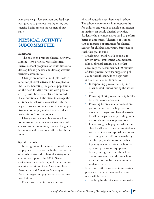nate area weight loss seminars and lead support groups to promote healthy eating and exercise habits among the women of our state.

#### **PHYSICAL ACTIVITY SUBCOMMITTEE**

#### **Summary:**

The goal is to promote physical activity as a norm. Two priorities were identified: Increase school programs for youth fitness to develop lifelong habits, and develop exercisefriendly communities.

Changes are needed at multiple levels in order for physical activity to be accepted as the norm. Educating the general population on the need for daily routines with physical activity, with benefits explained is needed. This education will also strive to change the attitude and behaviors associated with the negative association of exercise to a more positive opinion of physical activity in order to make fitness "cool" or popular.

Changes will include, but are not limited to improvements in schools, environmental changes to the community, policy changes in businesses, and educational efforts for the citizens.

#### **Specific details:**

In recognition of the importance of regular physical activity for the health and welfare of all Alabamians, the physical activity subcommittee supports the 2005 Dietary Guidelines for Americans, and the respective scientific positions of the American Heart Association and American Academy of Pediatrics regarding physical activity recommendations.

physical education requirements in schools. The school environment is an opportunity for children and youth to develop an interest in lifetime, enjoyable physical activities. Students who are more active tend to perform better in academics. Therefore, it is important to increase opportunities for physical activity for children and youth. Strategies to reach this goal include:

- Developing school health councils to review, revise, implement, and monitor, school physical activity policies that encourage the recommended 60 minutes of daily physical activity. Suggested policies for health councils to begin with include, but are not limited to:
	- Incorporating physical activity into other subject lessons during the school day
	- Providing short physical activity breaks between lessons or classes
	- Providing before and after school programs that include daily periods of moderate to vigorous physical activity for all participants and providing information about these opportunities
	- Encouraging daily physical education class for all students including students with disabilities and special health-care needs in grades K-12 to be taught by certified physical education teacher
	- Opening school facilities, such as the gym and playground equipment, before, during, and after the school day, on weekends and during school vacations for use by the community, students, and staff
- Educational efforts to assist in increasing physical activity in the school environment will include:
	- Teaching heath skills needed to main-

Data shows an unfortunate decline in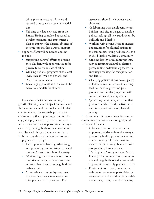tain a physically active lifestyle and reduced time spent on sedentary activities

- Utilizing the data collected from the Fitness Testing completed at school to develop, promote, and implement a plan to improve the physical abilities of the students that has parental support
- Support efforts will be needed and can include:
	- Supporting parents' efforts to provide their children with opportunities to be physically active outside of school
	- Utilizing national programs at the local level, such as "Walk to School" and "Safe Routes to School"
	- Encouraging parents and teachers to be active role models for children

Data shows that smart community growth/planning has an impact on health and the environment and that walkable, bikeable communities are increasingly preferred as environments that support opportunities for enjoyable physical activity. Therefore, it is important to increase opportunities for physical activity in neighborhoods and communities. To reach this goal, strategies include:

- Improving the environment to promote physical activity by:
	- Developing or enhancing, advertising and promoting, and utilizing parks and trails in Alabama for physical activity
	- Working together as members of communities and neighborhoods to create and/or enhance access to neighborhood walking trails
	- Completing a community assessment to determine the changes needed to offer physical activity venues. The

assessment should include malls and churches.

- Collaborating with developers, homebuilders, and city managers to develop polices making all new subdivisions be walkable and bikeable
- Working with zoning issues to increase opportunities for physical activity in the community, citing Auburn, AL as a model bikeable, walkable community
- Utilizing less involved improvements, such as repairing sidewalks, clearing paths, adding pedestrian signs, etc. to encourage walking for transportation and leisure
- Changing policies at businesses, places of faith etc. to allow access to existing facilities, such as gyms and playgrounds, and similar properties with considerations of liability issues
- Sponsoring community activities that promote family- friendly activities to increase opportunities for physical activity

• Educational and awareness efforts in the community to assist in increasing physical activity will include:

- Offering education sessions on the importance of daily physical activity in promoting health, preventing chronic disease, in weight loss and maintenance, and preventing obesity to civic groups, clubs, businesses, etc
- Developing a "Recognition of Activity Friendly Communities" for communities and neighborhoods that foster safe opportunities for daily physical activity
- Providing information, on a central web site to promote opportunities for recreation, exercise, and outdoor activities at trails, parks, recreation centers,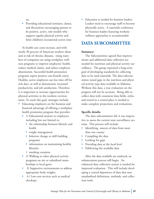etc

• Providing educational seminars, classes, and discussions encouraging parents to be positive, active, role models who support regular physical activity and limit children's recreational screen time

As health care costs increase, and with nearly 30 percent of American workers obese and at risk of chronic diseases, rising numbers of companies are using workplace wellness programs to improve employees' health, reduce medical claims, and reduce employee absenteeism. Successful health promotion programs report positive cost-benefit ratios. Healthy, active employees use less time off for sick days, as well as demonstrate increased productivity, and job satisfaction. Therefore, it is important to increase opportunities for physical activities in the worksite environment. To reach this goal, strategies include:

- Educating employers on the business and financial advantage of offering a workplace health promotion program that provides:
	- 1) Educational sessions to employees including but not limited to:
		- the relationship between lifestyle and health
		- weight management
		- behavior change or skill building programs
		- information on maintaining healthy lifestyles
		- smoking cessation
	- 2) Walking or other physical activity programs on site or subsidized memberships to local gyms
	- 3) Supportive environments to address appropriate body weights
	- 4.) Low-cost services such as medical checkups

Education is needed for business leaders. Leaders need to encourage staff to become physically active. A statewide conference for business leaders featuring worksite wellness approaches is recommended.

#### **DATA SUBCOMMITTEE**

#### **Summary:**

The Subcommittee agreed that improvements and additional data collection are needed for nutrition and physical activity surveillance. The group expressed a long-term goal of developing standards for collecting data to be used statewide. The data subcommittee noted gaps in the nutrition and physical activity type data available in Alabama. Without this data, a true evaluation on the progress will not be accurate. Being able to collect data with consistent data fields, styles, and stored in a central place is needed to make complete projections and evaluations.

#### **Specific details:**

The data subcommittee felt it was imperative to assess the current state surveillance systems. This process will include

- Identifying sources of data from more than one county
- Compiling the data
- Looking for gaps
- Providing data at the local level
- Publicizing the available data

After the data available are analyzed, an enhancement process will begin. An enhanced data collection system is needed for improved evaluation. This will include developing a central depository of data that uses standardized definitions, methods, and collection tools.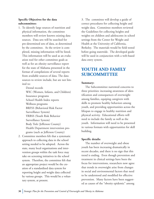#### **Specific Objectives for the data subcommittee:**

1. To identify large sources of nutrition and physical information, the committee members will review known existing data sources. Data sets will be searched for pre-determined sets of data, as determined by the committee. As the review is completed, missing information will be listed. This information will be used as an evaluation tool for other committee goals as well as for an obesity surveillance report for the state of Alabama presented in the format of compilations of several reports from available sources of data. The data sources to review include, but are not limited to:

> Dental records WIC (Women, Infants, and Children) Insurance programs School Health Index reports Wellness programs BRFSS (Behavioral Risk Factor Surveillance System) YRBSS (Youth Risk Behavior Surveillance System) Body Trek (Jefferson County) Health Department intervention programs (such as Jefferson County)

2. Committee members felt that a systematic approach to collecting data in the school setting needed to be adopted. Across the state, many local organizations and intervention groups within the task force may take on screening initiatives in the school system. Therefore, the committee felt that an appropriate project would be the creation of a standardized data system for reporting height and weight data collected by various groups. This would be a voluntary system, at present.

3. The committee will develop a guide of correct procedures for collecting height and weight data. Committee members reviewed the Guidelines for collecting heights and weights on children and adolescents in school settings from the Center for Weight and Health at the University of California, Berkeley. The materials would be field tested before going statewide. The developed guide will be used in conjunction with a web-based data entry system.

#### **YOUTH AND FAMILY SUBCOMMITTEE**

#### **Summary:**

The Subcommittee narrowed concerns to three priorities: increasing awareness of identification and consequences of overweight among families, equiping caregivers with skills to promote healthy behaviors among youth, and providing opportunities across the lifespan to engage in healthy nutrition and physical activity. Educational efforts will need to include the family as well as the youth. Information will need to be presented in various formats with opportunities for skill building.

#### **Specific details:**

The number of overweight and obese youth has been increasing dramatically in recent decades, and there is no sign that this trend is ending. Even though prevention and treatment in clinical settings have been the focus for interventions, researchers now agree that trends in overweight arise from changes in social and environmental factors that need to be understood and modified for effective prevention. Many factors have been suggested as causes of the "obesity epidemic" among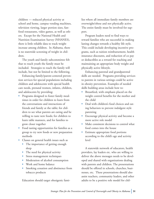children — reduced physical activity at school and home, campus vending machines, television viewing, larger portion sizes, fastfood restaurants, video games, as well as others. Except for the National Health and Nutrition Examination Survey (NHANES), there is little reliable data to track weight increase among children. In Alabama, there is no statewide screening of weight in children.

The youth and family subcommittee felt that to reach youth the family must be included. Strategies to reach the family will include, but not be limited to the following.

Enhancing family/parent-centered prevention services for special populations including children and adolescents with special health care needs, prenatal women, infants, children, and adolescents by providing:

- Programs designed to foster family mealtimes in order for children to learn from the conversations and interactions of friends and family at the table; for children to see what parents are eating and be willing to taste new foods; for children to learn table manners, and for families to grow closer together
- Food tasting opportunities for families as a group to try new foods or new preparation methods
- Classes on general health issues such as
	- The importance of getting enough sleep
	- The need for physical activity
	- Stress management techniques
	- Moderation of alcohol consumption
	- Work and home balance
	- Smoking cessation and abstinence from tobacco products

Education should target obesigenic fami-

lies where all immediate family members are overweight/obese and not physically active. The entire family must be involved for support.

Program leaders need to find ways to reward families who are successful in making lasting changes towards a healthy life style. This could include developing incentive programs, such as tuition reimbursement, health insurance discounts, and reduction of co pay or deductibles as a reward for reaching and maintaining an appropriate body weight and physically active lifestyle.

Enhancing parental and grandparental skills are needed. Programs providing services to parents in various settings could be active in obesity prevention. Examples of needed skills building areas include how to:

- Breastfeed, with emphasis placed on the weight control benefits for the mother and the child
- Deal with children's food choices and eating behaviors to prevent indulgent style parenting
- Encourage physical activity and become a more active role model
- Make consistent decisions to control what food comes into the house
- Estimate appropriate food portions according to the child's age and activity level

A statewide network of educators, health providers, lay leaders etc. who are willing to deliver the above messages needs to be developed and shared with organizations dealing with parents and children. The presentations should be offered in schools, churches, businesses, etc. These presentations should also assist teachers, community leaders, and other adults to be a positive role model for chil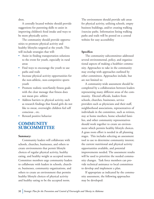dren.

A centrally located website should provide suggestions for parenting skills to assist in improving children's food intake and ways to be more physically active.

The community should provide opportunities to promote physical activity and healthy lifestyles targeted at the youth. This will include strategies that will:

- Assist in finding transportation solutions to the event for youth, especially in rural areas
- Find ways to encourage the youth to use paths and trails
- Increase physical activity opportunities for the non-athletic, non-competitive sports youth
- Promote realistic teen/family fitness goals with the clear message that fitness does not mean pro- athlete
- Address barriers to physical activity, such as research findings that found girls do not like to sweat, overweight children feel self conscious , etc.
- Reward positive behavior

#### **COMMUNITY SUBCOMMITTEE**

#### **Summary:**

Community leaders will collaborate with schools, churches, businesses, and others to create environments that permit lifestyle choices of regular physical activity, healthy eating, and healthy weight as accepted norms. Committee members urge community leaders to collaborate with leaders in schools, churches, businesses, community organizations, and others to create an environment that permits healthy lifestyle choices of physical activity and healthy eating to be the accepted norm.

The environment should provide safe areas for physical activity, utilizing schools, empty business buildings, and/or creating walking /exercise paths. Information listing walking paths and trails will be posted on a central website for easy accessibility

#### **Specifics:**

The community subcommittee addressed several environmental, policy, and organizational aspects of making a healthier community. Approaches to take in the community may overlap with approaches outlined by other committees. Approaches include, but are not limited to:

A community-wide assessment should be completed by a collaboration between leaders representing many different areas of the community. Elected officials, leaders from schools, churches, businesses, service providers such as physicians and their staff, neighborhood associations, representatives of individuals in the committee, such as retirees, stay at home mothers, home schooled families, and other community representatives should work together to create an environment which permits healthy lifestyle choices. A grass roots effort is needed in all planning stages. This includes selecting an assessment tool to use to determine community interest; the current nutritional and physical activity opportunities available, and potential improvements needed. The assessment results will be used to prioritize the needed community changes. Task force members can provide technical assistance to local committees to develop and implement a plan.

If appropriate as indicated by the community assessment, the following approaches may be developed: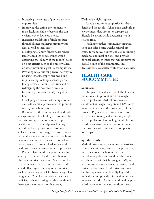- Increasing the venues of physical activity opportunities
- Improving the eating environment to make healthier choices become the convenient, easier, low-cost choices
- Increasing availability of fresh produce through farmer market/community gardens as well as local stores
- Developing a family fitness board where family check ins or screenings would determine the "family of the month" based on a set criteria such as the miles walked or other measurable goal is accomplished.
- Providing safe areas for physical activity by utilizing schools, empty business buildings, creating walking/-exercise paths, hiking areas, swimming facilities, and or redesigning the downtown areas to become a pedestrian friendly neighborhood
- Developing advocates within organizations and with external professionals to promote activity in daily activities

Businesses in the community should make changes to provide a healthy environment for staff and to support efforts to develop healthy, active retirees. Approaches may include wellness programs, environmental enhancements to encourage stair use or other physical activity within and outside the business area, and improvements in food selections provided. Business leaders can work with insurance companies to develop policies.

Places of faith need to support a healthy concept as a service for their members and the communities they serve. Many churches are the center of activity in rural areas and could offer physical activity opportunities, such as prayer walks or faith based weight loss programs. Churches can review their own policies, such as ensuring healthier foods and beverages are served at routine meals,

Wednesday night suppers.

Schools need to be supportive for the students and the faculty. Schools can establish an environment that promotes appropriate lifestyle behaviors while decreasing healthrelated risks.

Working together, community organizations can offer onsite weight control programs for families, healthy choices in vending machines and meal options, and provide physical activity avenues that will improve the overall health of the community, thus decrease costs associated with chronic disease.

#### **HEALTH CARE SUBCOMMITTEE**

#### **Summary:**

The goal is to enhance the skills of health professionals to prevent and treat weightrelated problems. Medical professionals should obtain height, weight, and BMI measurements to assist in the proper care of the patient. Physicians need to be more proactive in identifying and addressing weight related problems. Counseling should be provided in accurate, concise, consistent messages with realistic implementation practices for the patient.

#### **Specific details:**

Medical professionals, including pediatricians, family practitioners, primary care physicians, nurse practioners, school nurses, and providers at public and rural health clinics, etc. should obtain height, weight, BMI, and waist measurements when appropriate, for all patient assessments. Health risk assessments can be implemented to identify high-risk individuals and provide information on how to lower the risks. Counseling should be provided in accurate, concise, consistent mes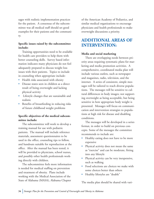sages with realistic implementation practices for the patient. A consensus of the subcommittee was all medical staff should set good examples for their patients and the community.

#### **Specific issues raised by the subcommittee include:**

Training opportunities need to be available for health care providers to help them with better counseling skills. Survey based information indicates many physicians do not feel adequately prepared to discuss weight loss issues with their patients. Topics to include in counseling when appropriate include:

- Health risks associated with obesity
- Disease states seen in children as a direct result of being overweight and lacking physical activity
- Lifestyle changes that are sustainable and realistic
- Benefits of breastfeeding in reducing risks of future childhood weight problems

#### **Specific objectives of the medical subcommittee include:**

The subcommittee will work to develop a training manual for use with pediatric patients. The manual will include reference materials, assessment questionnaires to be used in the office, counseling tips to follow, and handouts suitable for reproduction at the office. After the manual has been tested, it will be provided to physicians, school nurses, and possibly other health professionals working directly with children.

The subcommittee feels more information is needed for medical staffing on prevention and treatment of obesity. Plans include working with the Medical Association of the State of Alabama (MASA), Alabama Chapter

of the American Academy of Pediatrics, and similar medical organizations to encourage physicians and health professionals to make overweight discussions a priority.

#### **ADDITIONAL AREAS OF INTERVENTION:**

#### **Media and social marketing**

There are overlapping needs between priority areas requiring systematic plans for marketing and media promotion activities. A comprehensive, coordinated media plan will include various outlets, such as newspaper and magazines, radio, television, and the internet. A series of consistent, simple messages will be tailored to reach diverse populations. The messages will be sensitive to cultural differences in body images; not supporting overweight as being acceptable, but being sensitive in how appropriate body weight is presented. Messages will focus on communication and intervention strategies to populations at high risk for disease and disabling conditions.

The messages will be developed in a series format, in order to build on previous concepts. Some of the messages the committee recommends to include are:

- Healthy eating does not have to be more expensive
- Physical activity does not mean the same as "exercise" and can be moderate, fitting into any lifestyle
- Physical activity can be very inexpensive, such as walking
- Food selections are choices we make with some choices better than others
- Healthy lifestyles are "doable"

The media plan should be shared with vari-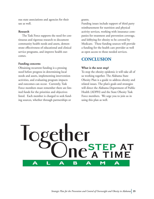ous state associations and agencies for their use as well.

#### **Research**

The Task Force supports the need for continuous and rigorous research to document community health needs and assets, demonstrate effectiveness of educational and clinical service programs, and improve health outcomes.

#### **Funding concerns**

Obtaining recurrent funding is a pressing need before progress in determining local needs and assets, implementing intervention activities, and evaluating program impacts and outcomes can occur. Currently, Task Force members must remember there are limited funds for the priorities and objectives listed. Each member is charged to seek funding sources, whether through partnerships or

grants.

Funding issues include support of third party reimbursement for nutrition and physical activity services, working with insurance companies for treatment and prevention coverage, and lobbying for obesity to be covered by Medicare. These funding sources will provide a funding for the health care provider as well as open access to those needed services.

#### **CONCLUSION**

#### **What is the next step?**

To stop the obesity epidemic it will take all of us working together. The Alabama State Obesity Plan is a guide to address obesity and related issues. The plan's goals and strategies will direct the Alabama Department of Public Health (ADPH) and the State Obesity Task Force members. We urge you to join us in using this plan as well.

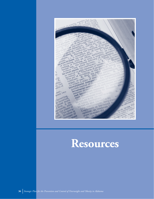

### **Resources**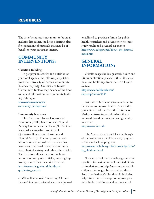#### **RESOURCES**

The list of resources is not meant to be an allinclusive list; rather, the list is a starting place for suggestions of materials that may be of benefit to your particular interest.

#### **COMMUNITY INTERVENTIONS:**

#### **Coalition Building**

To get physical activity and nutrition on your local agenda, the following steps taken from the University of Kansan Community Toolbox may help. University of Kansas' Community Toolbox may be one of the finest sources of information for community building techniques.

www.ecodevo.com/topics/ community\_development/

#### **Community Successes**

The Center for Disease Control and Prevention (CDC) Nutrition and Physical Activity Communication Team (NuPAC) has launched a searchable Inventory of Qualitative Research in Nutrition and Physical Activity. The site provides basic information about qualitative studies that have been conducted in the fields of nutrition, physical activity, and other related fields. The inventory allows users to search for information using search fields, entering keywords, or searching the entire database. http://www.cdc.gov/nccdphp/dnpa/ qualitative\_research

CDC's online journal "Preventing Chronic Disease" is a peer-reviewed, electronic journal established to provide a forum for public health researchers and practitioners to share study results and practical experience. http://www.cdc.gov/pcd/about\_the\_journal/ index.htm

#### **GENERAL INFORMATION:**

eHealth magazine is a quarterly health and fitness publication, packed with all the latest news and health tips from the UAB Health System.

http://www.health.uab.edu/ show.asp?durki=9645

Institute of Medicine serves as adviser to the nation to improve health. As an independent, scientific adviser, the Institute of Medicine strives to provide advice that is unbiased, based on evidence, and grounded in science: http://www.iom.edu

The Maternal and Child Health library's offers links to sites on child obesity, physical activity and school programs. http://www.mchlibrary.info/KnowledgePaths/ kp\_childnutr.html

Steps to a HealthierUS web page provides specific information on the HealthierUS initiative designed to help Americans, especially children, live longer, better, and healthier lives. The President's HealthierUS initiative helps Americans take steps to improve personal health and fitness and encourages all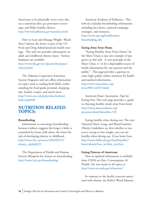Americans to be physically active every day; eat a nutritious diet; get preventive screenings; and Make healthy choices. http://www.healthierus.gov/nutrition.html

How to Lose and Manage Weight- Watch Your Calories, Be Active is part of the US Food and Drug Administration's health message. This web site provides information on adult and childhood obesity issues. Various handouts are available.

http://www.fda.gov/oc/opacom/hottopics/ obesity.html

The Alabama Cooperative Extension System Program's web site offers information on topics such as reading food labels, understanding the food guide pyramid, shopping tips, healthy recipes, and much more. http://www.aces.edu/pubs/docs/indexes/ hefn.tmpl#rtfl

#### **NUTRITION RELATED TOPICS:**

#### **Breastfeeding**

Information to encourage breastfeeding because evidence suggests the longer a baby is nourished by breast milk alone, the lower the risk of developing obesity in childhood. http://www.cbc.ca/stories/2004/02/25/ obesity\_cdn040225

The Department of Health and Human Services Blueprint for Action on breastfeeding http://www/cdc.gov/breastfeeding

American Academy of Pediatrics. This web site includes breastfeeding information including fact sheets, national campaign strategies, and resources. http://www.aap.org/healthtopics/ breastfeeding.cfm

#### **Eating Away from Home**

"Eating Healthy Away From Home" by the Mayo Clinic is just one example of tips given on this web. A core principle of the Mayo Clinic is "to be a dependable source of health information for our patients and the public." This page provides a gateway to some high quality online resources for health and medical information. http://www.mayoclinic.org/ news2001-rst/815.html

American Heart Association. Tips for Eating Out: This web page provides a guide to choosing healthy meals away from home http://www.americanheart.org/ presenter.jhtml?identifier=531

Eating healthy when dining out- The new National Heart, Lung, and Blood Institute Obesity Guidelines say that whether or not you're trying to lose weight, you can eat healthy when dining out, if you know how. http://www.nhlbi.nih.gov/health/public/ heart/obesity/lose\_wt/dine\_out.htm

#### **Eating Patterns of Americans**

New or updated information is available from USDA on Diet, Consumption, & Health. See new items in all topics at http://www.ers.usda.gov/whatsnew/

In response to the health concerns associated with obesity, the Robert Wood Johnson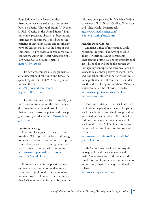Foundation and the American Heart Association have created a statistical sourcebook on obesity. This publication, "A Nation at Risk: Obesity in the United States," illustrates how prevalent obesity has become and examines the factors that contribute to the patterns of unhealthy eating and insufficient physical activity that are at the heart of this epidemic. To pre-order your free copy, please contact the American Heart Association at 1- 800-AHA-USA1 or send e-mail to inquiries@heart.org

The new government dietary guidelines set a new standard for health and fitness. A special report from WebMD shows you how to meet them.

http://my.webmd.com/content/ pages/21/105761.htm

This site has been constructed to help you find basic information on the more popular diet programs and to guide you forward so that you can discuss the potential dietary programs with your doctor. http://www.dietsguide.com/

#### **Emotional eating**

Food and feelings are frequently bound together. When people use food and eating to produce certain feelings or to cover up certain feelings, they may be engaging in emotional eating. Eating is tied to emotions. http://www.empoweredparents.com/ pages/EKAssess03.htm

Emotional eating is the practice of consuming large quantities of food -- usually "comfort" or junk foods -- in response to feelings instead of hunger. Experts estimate that 75% of overeating is caused by emotions. Information is provided by MedicineNet® is a network of U.S. Board Certified Physicians and Allied Health Professionals http://www.medicinenet.com/ emotional\_eating/article.htm

#### **Healthy Food Choices**

Montana Office of Instruction, Child Nutrition Programs, has developed All It Takes is Nutritious SEN\$E: Students Encouraging Nutritious Snacks Everyday tool kit. This toolkit will guide the participant through key concepts and considerations necessary to make these positive changes. In the end, the school store will not only continue to be profitable, it will contribute to student health and well being in the school. View the entire tool kit at the following website: http://www.opi.state.mt.us/schoolfood/ nutritionsense.htm

Food and Nutrition Fun for Children is a publication prepared as a resource for parents, teachers, educators, and child care providers interested in materials that will create a food and nutrition awareness in children while teaching them the ABC's of healthy eating. From the Food and Nutrition Information Center at

http://www.nal.usda.gov/fnic/pubs/bibs/ gen/childlit.html

MyPyramid was developed to carry the messages of the dietary guidelines and to make Americans aware of the vital health benefits of simple and modest improvements in nutrition, physical activity and lifestyle behavior.

http://www.mypyramid.gov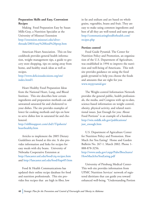#### **Preparation Skills and Easy, Convenient Recipes**

Making Food Preparation Easy by Susan Mills-Gray, a Nutrition Specialist at the University of Missouri Extension http://extension.missouri.edu/silverthreads/2003/easy%20food%20prep.htm

American Heart Association. This on line cookbook provides general health information, weight management tips, a guide to grocery store shopping, tips on eating away from home, and healthy snack ideas as well as recipes.

#### http://www.deliciousdecisions.org/sm/ index.html\\

Heart Healthy Food Preparation Ideas from the National Heart, Lung, and Blood Institute. This site describes how certain ingredients and preparation methods can add unwanted saturated fat and cholesterol to your dishes. The site provides examples of lower fat cooking methods and tips on how to serve dishes low in saturated fat and cholesterol.

#### http://nhlbisupport.com/chd1/Tipsheets/ hearthealthy.htm

Articles to implement the 2005 Dietary Guidelines are found at this site. It also provides information and links for recipes for easy meals with dry beans. University of Nebraska Cooperative Extension at http://lancaster.unl.edu/food/ciq-recipes.htm and http://lancaster.unl.edu/food/ftapr05.htm

Food & Health Communications has updated their online recipe database for food and nutrition professionals. This site provides free recipes that are high in fiber, low

in fat and sodium and are based on whole grains, vegetables, beans and fruit. They are easy to make using common ingredients and best of all they are well-tested and taste great. http://communicatingfoodforhealth.com/ recipes.php

#### **Portion control**

Food Guide Pyramid. The Center for Nutrition Policy and Promotion, an organization of the U.S. Department of Agriculture, was established in 1994 to improve the nutrition and well-being of Americans. This web site provides guidance on using the food guide pyramid to help you choose the foods and amounts that are right for you www.mypyramid.gov

The Weight-control Information Network provides the general public, health professionals, the media, and Congress with up-to-date, science-based information on weight control, obesity, physical activity, and related nutritional issues. Just Enough for you: About Food Portions" is an example of a handout. http://win.niddk.nih.gov/publications/ just\_enough.htm

U.S. Department of Agriculture Center for Nutrition Policy and Promotion. How Much Are You Eating? Home and Garden Bulletin No. 267-1. March 2002. Phone 1- 888-878-3256.

http://www.usda.gov/cnpp/Pubs/Brochures/ HowMuchAreYouEating.pdf

University of Pittsburg Medical Center-This web site provides information from UPMC Nutrition Services' network of registered dietitians that can guide you toward enhanced well-being. "Understanding Portion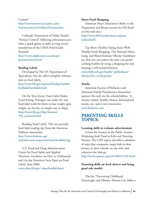#### Control" http://nutritionservices.upmc.com/ NutritionArticles/Habits/Portions.htm

Colorado Department of Public Health- "Portion Control" following information provides a quick glance at daily serving recommendations of the USDA Food Guide Pyramid: http://www.cdphe.state.co.us/steps/ portioncontrol.html

#### **Reading Labels**

Developed by The US Department of Agriculture, this site offers complete information on food labels.

http://www.fda.gov/opacom/backgrounders/ foodlabel/newlabel.html

On the Teen Scene: Food Label Makes Good Eating. Teenagers can make the new food label work for them to lose weight, gain weight, eat less fat, or simply stay in shape. http://www.fda.gov/fdac/features/ 795\_teenfood.html

Reading Food Labels. This site provides food label reading tips from the American Diabetes Association. http://www.diabetes.org/ nutrition-and-recipes/nutrition/foodlabel.jsp

U.S. Food and Drug Administration Center for Food Safety and Applied Nutrition. Guidance on How to Understand and Use the Nutrition Facts Panel on Food Labels. June 2000. www.cfsan.fda.gov/~dms/foodlab.html.

#### **Smart Food Shopping**

American Heart Association (Refer to the Preparation and Recipe section for full detail on this web site.) http://www.deliciousdecisions.org/sm/ index.html\\

Tip Sheet: Healthy Eating Starts With Healthy Food Shopping. The National Heart, Lung, and Blood Institute Obesity Guidelines say that you can reduce the time you spend cooking healthy by using a shopping list and keeping a well-stocked kitchen. www.nhlbi.nih.gov/health/ public/heart/ obesity/lose\_wt/shop.htm

#### **Snacks**

American Society of Pediatrics and American Family Practitioners Association sponsor this web site for schoolchildren. It stresses vitality, healthy choices, kid-prepared snacks, etc. and is very interactive. www.Kidnetic.com

#### **PARENTING SKILLS TOPICS:**

#### **Learning skills to evaluate advertisement**

Center for Science in the Public Interest. Marketing Junk Food to Kids and Pestering Parents. The CSPI report identifies a plethora of ways that companies target kids in their homes, in their schools, on the web, and wherever else kids go.

http://www.cspinet.org/new/200311101.html

#### **Parenting skills on food choices and being good role model**s

The kit, "Preventing Childhood Overweight and Obesity: Parents Can Make a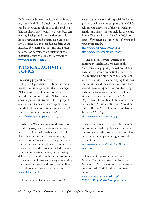Difference", addresses the issue of the increasing rate of childhood obesity and how parents can be involved in solutions to this problem. The kit allows participants to choose between viewing background information on childhood overweight and obesity on a video or DVD. Handouts in reproducible format are included for sharing at meetings and presentations. For downloadable versions of the materials, access the Project PA website at www.psu.edu/projectpa.

#### **PHYSICAL ACTIVITY TOPICS**:

#### **Increasing physical activity**

Lighten Up Alabama is a fun, four month health, and fitness program that encourages Alabamians to develop healthy, active lifestyles and eating habits. Alabamians are encouraged to form teams (2 to 10 people), select a team name and team captain, receive weekly health and nutrition tips (via e-mail), and strive for a healthy Alabama! http://www.lightenupalabama.org

Alabama Walk is a program designed to profile highway safety deficiencies encountered by children who walk to school daily. The program is dedicated to improving school zone safety and access for pedestrians and promoting the health benefits of walking. Primary goals of the program include identifying and correcting highway related safety deficiencies around schools, raising community awareness and involvement regarding safety and pedestrian issues and promoting walking as an alternative form of transportation. www.alabamawalk.org

Healthy lifestyles benefit everyone. And

when you take part in this special 90 day program you will have the support of the YMCA behind you every step of the way. Making healthy and smart choices includes the entire family. That is why the ShapeUp 2005 program offers beneficial experiences for you and your entire family. http://www.shapeup2005.com or

http://www.ymcamontgomery.org/

The goal of Activate America is to improve the health and wellness of all Americans by equipping the nation's 2,575 YMCAs to become dramatically more effective in directly helping individuals and families live healthier lives, and helping lead their communities and the nation, to reduce barriers and increase supports for healthy living. YMCA "Activate America" was developed utilizing the expert advice of the U.S. Department of Health and Human Services, Centers for Disease Control and Prevention and the Robert Wood Johnson Foundation. To find a YMCA go to http://www.ymca.net/index.jsp

American College of Sports Medicine's mission is devoted to public awareness and education about the positive aspects of physical activity for people of all ages, from all walks of life.

http://www.acsm.org/health%2Bfitness/ index.htm

Creating Opportunities for Physical Activity. On this web site The American Academy of Pediatrics summarize interventions entitled, 2005 Healthy Tomorrows Projects.

www.aap.org/commpeds/htpcp/ 2005%20Project%20Descriptions.doc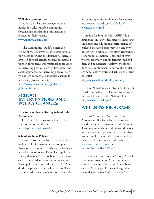#### **Walkable communities**

Auburn, AL has been recognized as a model bikeable, walkable community. Organizing and planning information is located on their website. www.auburnalabama.org

The Community Guide's systematic review of the effectiveness of selected population based interventions designed to increase levels of physical activity focused on interventions in three areas: informational approaches to increasing physical activity; behavioral and social approaches to increasing physical activity; and environmental and policy changes to increasing physical activity http://www.thecommunityguide.org/ pa/default.htm

#### **SCHOOL INTERVENTIONS AND POLICY CHANGES:**

#### **How to Complete a Healthy School Index Assessment**

CDC provides downloadable materials and instructions at this site: http://apps.nccd.cdc.gov/shi/

#### **School Wellness Policies:**

Team Nutrition's website serves as a clearinghouse of information on the components that should be considered when establishing a school wellness policy. Examples of policies already developed by schools and State agencies are provided as resources and references. These policies are not endorsed by USDA nor do they represent a comprehensive list. They are provided to enable schools to have a variety of examples for local policy development. http://www.fns.usda.gov/tn/Healthy/ wellnesspolicy.html

Action for Healthy Kids (AFHK) is a nationwide initiative dedicated to improving the health and educational performance of children through better nutrition and physical activity in schools. This effort represents a response to our nation's epidemic of overweight, sedentary, and undernourished children and adolescents. Healthy schools produce healthy students -- and healthy students are better able to learn and achieve their true potential.

http://www.actionforhealthykids.org

Team Nutrition is an integrated, behaviorbased, comprehensive plan for promoting the nutritional health of the Nation's children. http://www.fns.usda.gov/tn

#### **WELLNESS PROGRAMS**

Heart At Work is American Heart Association's flexible, effective, affordable health promotion program -- and it's online. This program enables worksite coordinators to conduct health promotion activities that inspire employees and their families to lower their risk of heart disease and stroke. www.americanheart.org or http://216.185.102.50/haw/

National Cancer Institute's Body & Soul is a wellness program for African American churches that empowers church members to eat 5 to 9 servings of fruits and vegetables every day for better health. Body & Soul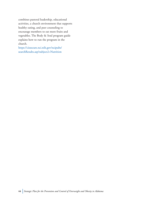combines pastoral leadership, educational activities, a church environment that supports healthy eating, and peer counseling to encourage members to eat more fruits and vegetables. The Body & Soul program guide explains how to run the program in the church.

https://cissecure.nci.nih.gov/ncipubs/ searchResults.asp?subject2=Nutrition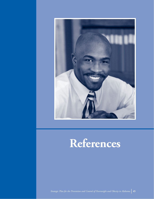

### **References**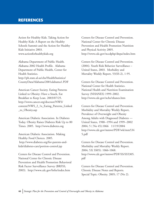#### **REFERENCES**

Action for Healthy Kids. Taking Action for Healthy Kids: A Report on the Healthy Schools Summit and the Action for Healthy Kids Initiative 2003. www.actionforhealthykids.org

Alabama Department of Public Health. Alabama 2002 Health Profile. Alabama Department of Public Health, Center for Health Statistics. http://ph.state.al.us/chs/HealthStatistics/ CountyData/Alabama/2001alabama1.PDF

American Cancer Society. Eating Patterns Linked to Obesity: Have a Snack, Eat Breakfast to Keep Lean. 2003/07/25. http://www.cancer.org/docroot/NWS/ content/NWS\_2\_1x\_Eating\_Patterns\_Linked \_to\_Obesity.asp

American Diabetic Association. In Diabetes Today. Obesity Raises Diabetes Risk Up to 80 Times. 2005. http://www.diabetes.org

American Diabetic Association. Making Healthy Food Choices. 2005. http://www.diabetes.org/for-parents-andkids/diabetes-care/portion-control.jsp

Centers for Disease Control and Prevention. National Center for Chronic Disease Prevention and Health Promotion Behavioral Risk Factor Surveillance Survey (BRFSS, 2003). http://www.cdc.gov/brfss/index.htm

Centers for Disease Control and Prevention. National Center for Chronic Disease Prevention and Health Promotion Nutrition and Physical Activity 2005. http://www.cdc.gov/nccdphp/dnpa/index.htm

Centers for Disease Control and Prevention. (2004). Youth Risk Behavior Surveillance – United States, 2003. Morbidity and Mortality Weekly Report, 53(SS-2), 1-95.

Centers for Disease Control and Prevention. National Center for Health Statistics. National Health and Nutrition Examination Survey (NHANES) 1999–2002. http://www.cdc.gov/nchs/nhanes.htm

Centers for Disease Control and Prevention. Morbidity and Mortality Weekly Report, Prevalence of Overweight and Obesity Among Adults with Diagnosed Diabetes --- United States, 1988--1994 and 1999--2002 2004; 5 ( No 45):1066 11/19/2004 http://www.cdc.gov/mmwr/PDF/wk/mm534 5.pdf

Centers for Disease Control and Prevention. Morbidity and Mortality Weekly Report. 2004; 53( SS05): 1066-1068. http://www.cdc.gov/mmwr/PDF/SS/SS5305. pdf

Centers for Disease Control and Prevention. Chronic Disease Notes and Reports. Special Topic: Obesity. 2005; 17 (No 2).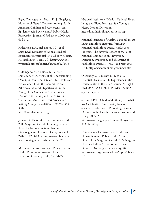Fagot-Campagna, A., Pettit, D. J., Engelgau, M. M. et al. Type 2 Diabetes Among North American Children and Adolescents: An Epidemiologic Review and A Public Health Prospective. Journal of Pediatrics. 2000; 136, 664-672.

Finkelstein E.A., Fiebelkorn, I.C., et al., State-Level Estimates of Annual Medical Expenditures Attributable to Obesity. Obesity Research 2004; 12:18-24. http://www.obesityresearch.org/cgi/content/abstract/12/1/18

Gidding, S., MD, Leibel, R. L. MD, Daniels, S. MD, MPH, et al. Understanding Obesity in Youth: A Statement for Healthcare Professionals From the Committee on Atherosclerosis and Hypertension in the Young of the Council on Cardiovascular Disease in the Young and the Nutrition Committee, American Heart Association Writing Group. Circulation. 1996;94:3383- 3387.

http://circ.ahajournals.org

Jackson, Y, Dietz, W., et all. Summary of the 2000 Surgeon General's Listening Session: Toward a National Action Plan on Overweight and Obesity. Obesity Research. 2202;10:1299-1305. http://www.obesityresearch.org/cgi/content/full/10/12/1299

McLeroy et al. An Ecological Perspective on Health Promotion Programs. Health Education Quarterly 1988; 15:351-77

National Institutes of Health. National Heart, Lung, and Blood Institute. Stay Young at Heart. Portion Distortion. http://hin.nhlbi.nih.gov/portion/#top

National Institutes of Health. National Heart, Lung, and Blood Institute. (NHLBI) National High Blood Pressure Education Program/ The Seventh Report of the Joint National Committee on Prevention, Detection, Evaluation, and Treatment of High Blood Pressure (JNC 7 Express) 2003; 1-34. http://www.nhlbi.nih.gov/index.htm

Olshansky S. J., Passaro D. J.,et al. A Potential Decline in Life Expectancy in the United States in the 21st Century. N Engl J Med 2005; 352:1138-1145, Mar 17, 2005. Special Reports

Sturm, R.PhD. Childhood Obesity — What We Can Learn From Existing Data on Societal Trends, Part 1. Preventing Chronic Disease: Public Health Research, Practice and Policy. 2005; 2: 1 http://www.cdc.gov/pcd/issues/2005/jan/04\_ 0038.htm#top

United States Department of Health and Human Services, Public Health Service, Office of the Surgeon General. U.S. Surgeon General's Call to Action to Prevent and Decrease Overweight and Obesity, 2001. http://www.surgeongeneral.gov/topics/obesity/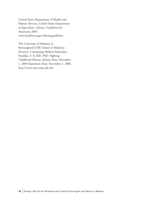United States Department of Health and Human Services, United States Department of Agriculture. Dietary Guidelines for Americans 2005. www.healthierus.gov/dietaryguidelines

The University of Alabama in Birmingham(UAB) School of Medicine Division. Continuing Medical Education. Franklin, F. A.,MD, PhD. Fighting Childhood Obesity. Release Date: November 1, 2003 Expiration Date: November 1, 2006. http://www-cme.erep.uab.edu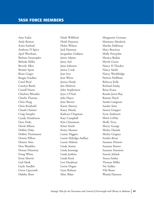Amy Eades Andy Britton Anita Sanford Anthony D'Apice April Wortham Barbara Struempler Belinda Miller Beverly Allen Bonnie Spear Brian Geiger Burgin Fowlkes Carol Bryd Carolyn Battle Carroll Nason Charlene Rhoades Charlie Thomas Chris Haag Chris Reinhold Claude Ouimet Craig Samples Cyndy Henderson Dave Parks David Allison Debbie Duke Debbie Thomasson Dennis Pillion Dianne Sims Don Wambles Donna Dunaway Doug White Ernie Merritt Gail Mask Gayle Sandlin Gwen Lipscomb Habiba Shaw

Hank Williford Heidi Hataway Helen Wilson Jack Hataway Jacqueline Giddens Jamie Adams Jamy Ard Janet Johnson Janice Cook Jean Ivey Jean Weese Jessica Hardy Jim Methvin John Stephenson Joyce O'Neal Julia Hayes June Barrett Karen Slattery Kasey Hinely Kathryn Chapman Katy Campbell Kim Clemmons Kristi Smith Kristy Meanor Lamar Higgins Laurie Eldridge-Auffant Laurie Malone Linda Austin Linda Jennings Linda Jenkins Linda Knol Lori Haufman Lorrie Dogan Lynn Beshear Marc Riker

Marguerite Gorman Marianne Murdock Martha Holloway Mary Brocious Molly Pettyjohn Monica Baskin Myrtle Goore Nancy H Thacker Nancy Smith Nancy Wooldridge Patricia Huffman Rebecca Kelly Richard Sinsky Retta Evans Ronda Jarvis-Ray Ronnie Floyd Sandra Langston Sandra Sims Sareen Gropper Scott Anderton Sharis LeMay Shelly Terry Sherry George Shirley Daniels Shirley Gregory Sondra Reese Suzanne Henson Suzanne Reaves Suzanne Sizemore Suzette Jelinek Teresa Smiley Thomas Miller Vee Stalker Viki Brant Wanda Hannon